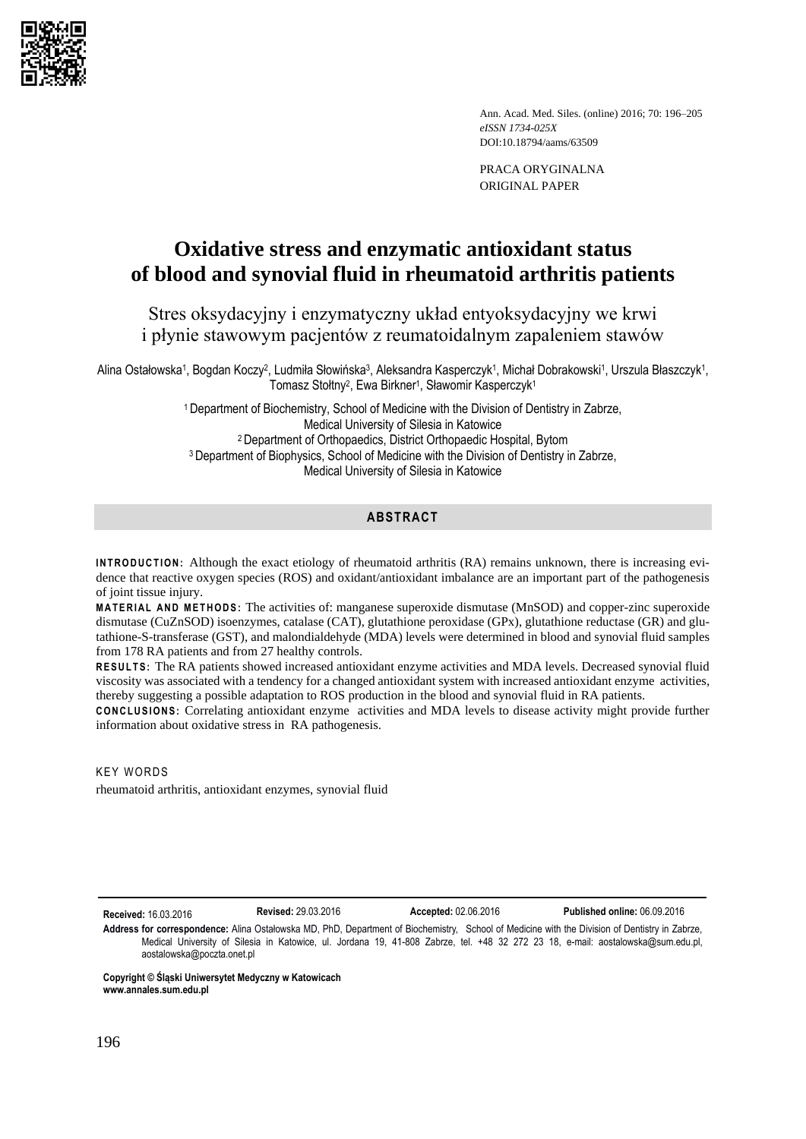

Ann. Acad. Med. Siles. (online) 2016; 70: 196–205 *eISSN 1734-025X* DOI:10.18794/aams/63509

PRACA ORYGINALNA ORIGINAL PAPER

# **Oxidative stress and enzymatic antioxidant status of blood and synovial fluid in rheumatoid arthritis patients**

## Stres oksydacyjny i enzymatyczny układ entyoksydacyjny we krwi i płynie stawowym pacjentów z reumatoidalnym zapaleniem stawów

Alina Ostałowska1, Bogdan Koczy<sup>2</sup>, Ludmiła Słowińska<sup>3</sup>, Aleksandra Kasperczyk1, Michał Dobrakowski1, Urszula Błaszczyk1, Tomasz Stołtny<sup>2</sup> , Ewa Birkner<sup>1</sup> , Sławomir Kasperczyk<sup>1</sup>

> <sup>1</sup>Department of Biochemistry, School of Medicine with the Division of Dentistry in Zabrze, Medical University of Silesia in Katowice <sup>2</sup>Department of Orthopaedics, District Orthopaedic Hospital, Bytom <sup>3</sup> Department of Biophysics, School of Medicine with the Division of Dentistry in Zabrze, Medical University of Silesia in Katowice

## **ABSTRACT**

**INTRODUCTION:** Although the exact etiology of rheumatoid arthritis (RA) remains unknown, there is increasing evidence that reactive oxygen species (ROS) and oxidant/antioxidant imbalance are an important part of the pathogenesis of joint tissue injury.

**M A T E R I A L A N D M E T H O D S :** The activities of: manganese superoxide dismutase (MnSOD) and copper-zinc superoxide dismutase (CuZnSOD) isoenzymes, catalase (CAT), glutathione peroxidase (GPx), glutathione reductase (GR) and glutathione-S-transferase (GST), and malondialdehyde (MDA) levels were determined in blood and synovial fluid samples from 178 RA patients and from 27 healthy controls.

RESULTS: The RA patients showed increased antioxidant enzyme activities and MDA levels. Decreased synovial fluid viscosity was associated with a tendency for a changed antioxidant system with increased antioxidant enzyme activities, thereby suggesting a possible adaptation to ROS production in the blood and synovial fluid in RA patients.

**CONCLUSIONS:** Correlating antioxidant enzyme activities and MDA levels to disease activity might provide further information about oxidative stress in RA pathogenesis.

**KEY WORDS** rheumatoid arthritis, antioxidant enzymes, synovial fluid

**Received:** 16.03.2016 **Revised:** 29.03.2016 **Accepted:** 02.06.2016 **Published online:** 06.09.2016

**Address for correspondence:** Alina Ostałowska MD, PhD, Department of Biochemistry, School of Medicine with the Division of Dentistry in Zabrze, Medical University of Silesia in Katowice, ul. Jordana 19, 41-808 Zabrze, tel. +48 32 272 23 18, e-mail: [aostalowska@sum.edu.pl,](mailto:aostalowska@sum.edu.pl) [aostalowska@poczta.onet.pl](mailto:aostalowska@poczta.onet.pl)

**Copyright © Śląski Uniwersytet Medyczny w Katowicach www.annales.sum.edu.pl**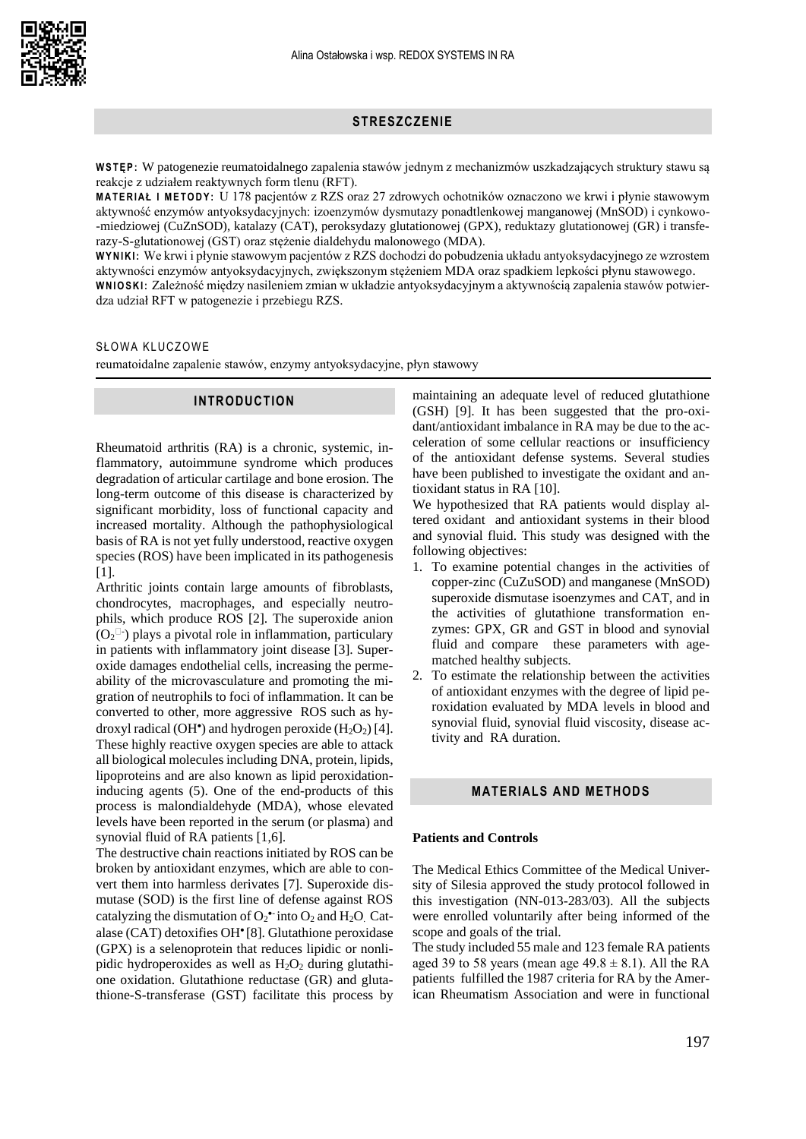#### **STRESZCZENIE**

**W S T Ę P :** W patogenezie reumatoidalnego zapalenia stawów jednym z mechanizmów uszkadzających struktury stawu są reakcje z udziałem reaktywnych form tlenu (RFT).

**M A T E R I A Ł I M E T O D Y :** U 178 pacjentów z RZS oraz 27 zdrowych ochotników oznaczono we krwi i płynie stawowym aktywność enzymów antyoksydacyjnych: izoenzymów dysmutazy ponadtlenkowej manganowej (MnSOD) i cynkowo- -miedziowej (CuZnSOD), katalazy (CAT), peroksydazy glutationowej (GPX), reduktazy glutationowej (GR) i transferazy-S-glutationowej (GST) oraz stężenie dialdehydu malonowego (MDA).

**W Y N IK I :** We krwi i płynie stawowym pacjentów z RZS dochodzi do pobudzenia układu antyoksydacyjnego ze wzrostem aktywności enzymów antyoksydacyjnych, zwiększonym stężeniem MDA oraz spadkiem lepkości płynu stawowego.

**W N I O S K I :** Zależność między nasileniem zmian w układzie antyoksydacyjnym a aktywnością zapalenia stawów potwierdza udział RFT w patogenezie i przebiegu RZS.

## SŁOWA KLUCZOWE

reumatoidalne zapalenie stawów, enzymy antyoksydacyjne, płyn stawowy

#### **INTRODUCTION**

Rheumatoid arthritis (RA) is a chronic, systemic, inflammatory, autoimmune syndrome which produces degradation of articular cartilage and bone erosion. The long-term outcome of this disease is characterized by significant morbidity, loss of functional capacity and increased mortality. Although the pathophysiological basis of RA is not yet fully understood, reactive oxygen species (ROS) have been implicated in its pathogenesis [1].

Arthritic joints contain large amounts of fibroblasts, chondrocytes, macrophages, and especially neutrophils, which produce ROS [2]. The superoxide anion  $(O_2^{\Box})$  plays a pivotal role in inflammation, particulary in patients with inflammatory joint disease [3]. Superoxide damages endothelial cells, increasing the permeability of the microvasculature and promoting the migration of neutrophils to foci of inflammation. It can be converted to other, more aggressive ROS such as hydroxyl radical (OH<sup>\*</sup>) and hydrogen peroxide  $(H_2O_2)$  [4]. These highly reactive oxygen species are able to attack all biological molecules including DNA, protein, lipids, lipoproteins and are also known as lipid peroxidationinducing agents (5). One of the end-products of this process is malondialdehyde (MDA), whose elevated levels have been reported in the serum (or plasma) and synovial fluid of RA patients [1,6].

The destructive chain reactions initiated by ROS can be broken by antioxidant enzymes, which are able to convert them into harmless derivates [7]. Superoxide dismutase (SOD) is the first line of defense against ROS catalyzing the dismutation of  $O_2^{\bullet-}$  into  $O_2$  and  $H_2O$ . Catalase (CAT) detoxifies OH• [8]. Glutathione peroxidase (GPX) is a selenoprotein that reduces lipidic or nonlipidic hydroperoxides as well as  $H_2O_2$  during glutathione oxidation. Glutathione reductase (GR) and glutathione-S-transferase (GST) facilitate this process by

maintaining an adequate level of reduced glutathione (GSH) [9]. It has been suggested that the pro-oxidant/antioxidant imbalance in RA may be due to the acceleration of some cellular reactions or insufficiency of the antioxidant defense systems. Several studies have been published to investigate the oxidant and antioxidant status in RA [10].

We hypothesized that RA patients would display altered oxidant and antioxidant systems in their blood and synovial fluid. This study was designed with the following objectives:

- 1. To examine potential changes in the activities of copper-zinc (CuZuSOD) and manganese (MnSOD) superoxide dismutase isoenzymes and CAT, and in the activities of glutathione transformation enzymes: GPX, GR and GST in blood and synovial fluid and compare these parameters with agematched healthy subjects.
- 2. To estimate the relationship between the activities of antioxidant enzymes with the degree of lipid peroxidation evaluated by MDA levels in blood and synovial fluid, synovial fluid viscosity, disease activity and RA duration.

## **MATERIALS AND METHODS**

#### **Patients and Controls**

The Medical Ethics Committee of the Medical University of Silesia approved the study protocol followed in this investigation (NN-013-283/03). All the subjects were enrolled voluntarily after being informed of the scope and goals of the trial.

The study included 55 male and 123 female RA patients aged 39 to 58 years (mean age  $49.8 \pm 8.1$ ). All the RA patients fulfilled the 1987 criteria for RA by the American Rheumatism Association and were in functional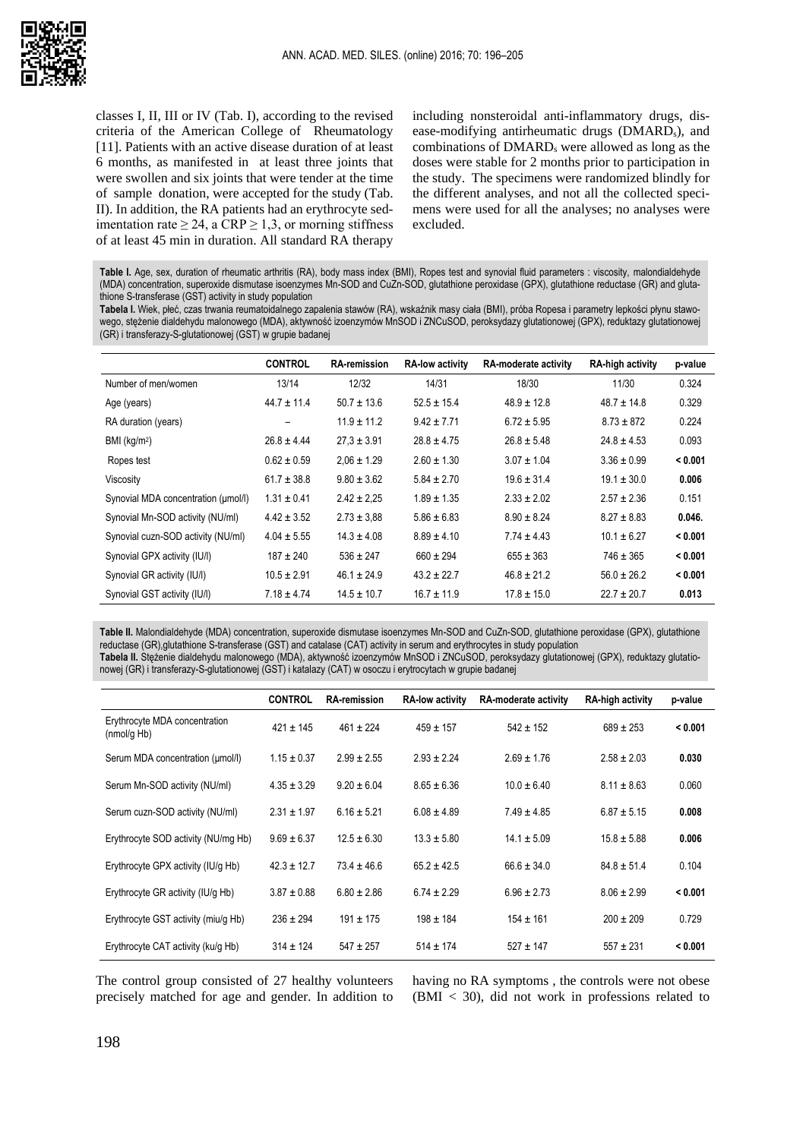

classes I, II, III or IV (Tab. I), according to the revised criteria of the American College of Rheumatology [11]. Patients with an active disease duration of at least 6 months, as manifested in at least three joints that were swollen and six joints that were tender at the time of sample donation, were accepted for the study (Tab. II). In addition, the RA patients had an erythrocyte sedimentation rate  $\geq 24$ , a CRP  $\geq 1,3$ , or morning stiffness of at least 45 min in duration. All standard RA therapy including nonsteroidal anti-inflammatory drugs, disease-modifying antirheumatic drugs (DMARDs), and combinations of DMARD<sub>s</sub> were allowed as long as the doses were stable for 2 months prior to participation in the study. The specimens were randomized blindly for the different analyses, and not all the collected specimens were used for all the analyses; no analyses were excluded.

Table I. Age, sex, duration of rheumatic arthritis (RA), body mass index (BMI), Ropes test and synovial fluid parameters : viscosity, malondialdehyde (MDA) concentration, superoxide dismutase isoenzymes Mn-SOD and CuZn-SOD, glutathione peroxidase (GPX), glutathione reductase (GR) and glutathione S-transferase (GST) activity in study population

**Tabela I.** Wiek, płeć, czas trwania reumatoidalnego zapalenia stawów (RA), wskaźnik masy ciała (BMI), próba Ropesa i parametry lepkości płynu stawowego, stężenie dialdehydu malonowego (MDA), aktywność izoenzymów MnSOD i ZNCuSOD, peroksydazy glutationowej (GPX), reduktazy glutationowej (GR) i transferazy-S-glutationowej (GST) w grupie badanej

|                                     | <b>CONTROL</b>  | <b>RA-remission</b> | <b>RA-low activity</b> | RA-moderate activity | <b>RA-high activity</b> | p-value |
|-------------------------------------|-----------------|---------------------|------------------------|----------------------|-------------------------|---------|
| Number of men/women                 | 13/14           | 12/32               | 14/31                  | 18/30                | 11/30                   | 0.324   |
| Age (years)                         | $44.7 \pm 11.4$ | $50.7 \pm 13.6$     | $52.5 \pm 15.4$        | $48.9 \pm 12.8$      | $48.7 \pm 14.8$         | 0.329   |
| RA duration (years)                 |                 | $11.9 \pm 11.2$     | $9.42 \pm 7.71$        | $6.72 \pm 5.95$      | $8.73 \pm 872$          | 0.224   |
| BMI $(kg/m2)$                       | $26.8 \pm 4.44$ | $27.3 \pm 3.91$     | $28.8 \pm 4.75$        | $26.8 \pm 5.48$      | $24.8 \pm 4.53$         | 0.093   |
| Ropes test                          | $0.62 \pm 0.59$ | $2.06 \pm 1.29$     | $2.60 \pm 1.30$        | $3.07 \pm 1.04$      | $3.36 \pm 0.99$         | < 0.001 |
| Viscosity                           | $61.7 \pm 38.8$ | $9.80 \pm 3.62$     | $5.84 \pm 2.70$        | $19.6 \pm 31.4$      | $19.1 \pm 30.0$         | 0.006   |
| Synovial MDA concentration (umol/l) | $1.31 \pm 0.41$ | $2.42 \pm 2.25$     | $1.89 \pm 1.35$        | $2.33 \pm 2.02$      | $2.57 \pm 2.36$         | 0.151   |
| Synovial Mn-SOD activity (NU/ml)    | $4.42 \pm 3.52$ | $2.73 \pm 3.88$     | $5.86 \pm 6.83$        | $8.90 \pm 8.24$      | $8.27 \pm 8.83$         | 0.046.  |
| Synovial cuzn-SOD activity (NU/ml)  | $4.04 \pm 5.55$ | $14.3 \pm 4.08$     | $8.89 \pm 4.10$        | $7.74 \pm 4.43$      | $10.1 \pm 6.27$         | < 0.001 |
| Synovial GPX activity (IU/I)        | $187 \pm 240$   | $536 \pm 247$       | $660 \pm 294$          | $655 \pm 363$        | $746 \pm 365$           | < 0.001 |
| Synovial GR activity (IU/I)         | $10.5 \pm 2.91$ | $46.1 \pm 24.9$     | $43.2 \pm 22.7$        | $46.8 \pm 21.2$      | $56.0 \pm 26.2$         | < 0.001 |
| Synovial GST activity (IU/I)        | $7.18 \pm 4.74$ | $14.5 \pm 10.7$     | $16.7 \pm 11.9$        | $17.8 \pm 15.0$      | $22.7 \pm 20.7$         | 0.013   |

**Table II.** Malondialdehyde (MDA) concentration, superoxide dismutase isoenzymes Mn-SOD and CuZn-SOD, glutathione peroxidase (GPX), glutathione reductase (GR),glutathione S-transferase (GST) and catalase (CAT) activity in serum and erythrocytes in study population **Tabela II.** Stężenie dialdehydu malonowego (MDA), aktywność izoenzymów MnSOD i ZNCuSOD, peroksydazy glutationowej (GPX), reduktazy glutationowej (GR) i transferazy-S-glutationowej (GST) i katalazy (CAT) w osoczu i erytrocytach w grupie badanej

|                                              | <b>CONTROL</b>  | <b>RA-remission</b> | <b>RA-low activity</b> | RA-moderate activity | <b>RA-high activity</b> | p-value |
|----------------------------------------------|-----------------|---------------------|------------------------|----------------------|-------------------------|---------|
| Erythrocyte MDA concentration<br>(mmol/g Hb) | $421 \pm 145$   | $461 \pm 224$       | $459 \pm 157$          | $542 \pm 152$        | $689 \pm 253$           | < 0.001 |
| Serum MDA concentration (umol/l)             | $1.15 \pm 0.37$ | $2.99 \pm 2.55$     | $2.93 \pm 2.24$        | $2.69 \pm 1.76$      | $2.58 \pm 2.03$         | 0.030   |
| Serum Mn-SOD activity (NU/ml)                | $4.35 \pm 3.29$ | $9.20 \pm 6.04$     | $8.65 \pm 6.36$        | $10.0 \pm 6.40$      | $8.11 \pm 8.63$         | 0.060   |
| Serum cuzn-SOD activity (NU/ml)              | $2.31 \pm 1.97$ | $6.16 \pm 5.21$     | $6.08 \pm 4.89$        | $7.49 \pm 4.85$      | $6.87 \pm 5.15$         | 0.008   |
| Erythrocyte SOD activity (NU/mg Hb)          | $9.69 \pm 6.37$ | $12.5 \pm 6.30$     | $13.3 \pm 5.80$        | $14.1 \pm 5.09$      | $15.8 \pm 5.88$         | 0.006   |
| Erythrocyte GPX activity (IU/q Hb)           | $42.3 \pm 12.7$ | $73.4 \pm 46.6$     | $65.2 \pm 42.5$        | $66.6 \pm 34.0$      | $84.8 \pm 51.4$         | 0.104   |
| Erythrocyte GR activity (IU/q Hb)            | $3.87 \pm 0.88$ | $6.80 \pm 2.86$     | $6.74 \pm 2.29$        | $6.96 \pm 2.73$      | $8.06 \pm 2.99$         | < 0.001 |
| Erythrocyte GST activity (miu/q Hb)          | $236 \pm 294$   | $191 \pm 175$       | $198 \pm 184$          | $154 \pm 161$        | $200 \pm 209$           | 0.729   |
| Erythrocyte CAT activity (ku/q Hb)           | $314 \pm 124$   | $547 \pm 257$       | $514 \pm 174$          | $527 \pm 147$        | $557 + 231$             | < 0.001 |

The control group consisted of 27 healthy volunteers precisely matched for age and gender. In addition to having no RA symptoms , the controls were not obese (BMI < 30), did not work in professions related to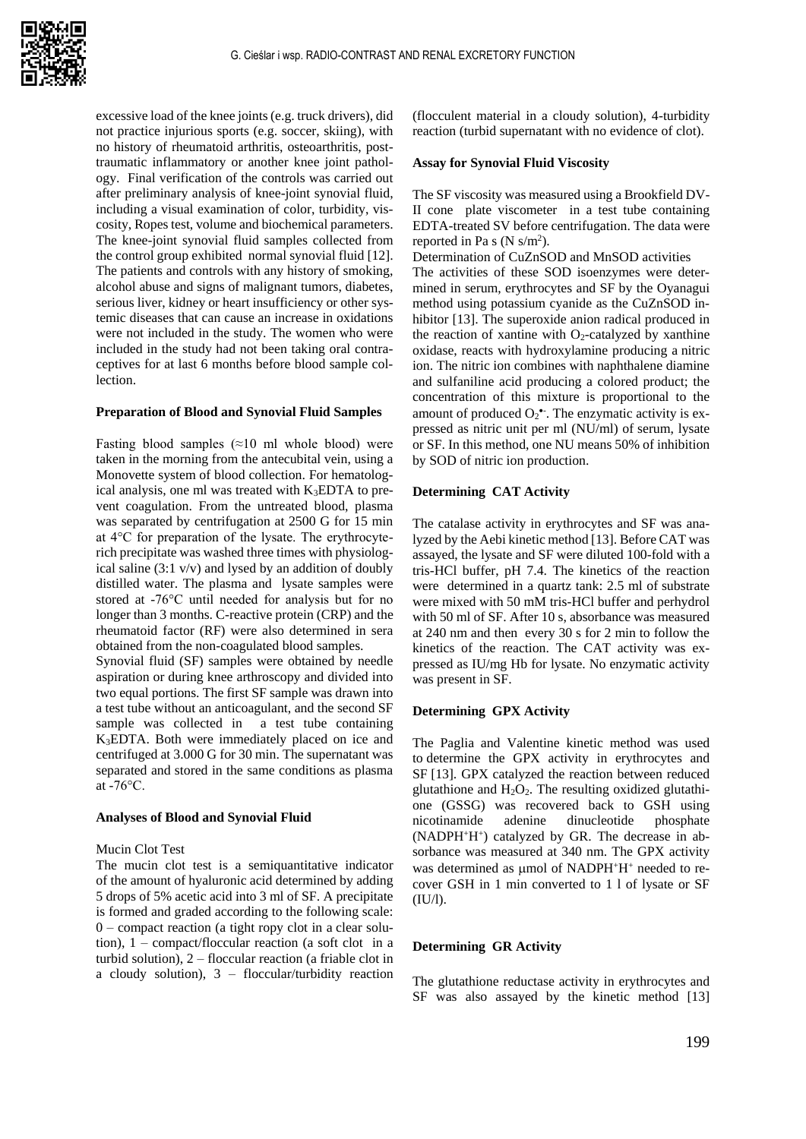excessive load of the knee joints (e.g. truck drivers), did not practice injurious sports (e.g. soccer, skiing), with no history of rheumatoid arthritis, osteoarthritis, posttraumatic inflammatory or another knee joint pathology. Final verification of the controls was carried out after preliminary analysis of knee-joint synovial fluid, including a visual examination of color, turbidity, viscosity, Ropes test, volume and biochemical parameters. The knee-joint synovial fluid samples collected from the control group exhibited normal synovial fluid [12]. The patients and controls with any history of smoking, alcohol abuse and signs of malignant tumors, diabetes, serious liver, kidney or heart insufficiency or other systemic diseases that can cause an increase in oxidations were not included in the study. The women who were included in the study had not been taking oral contraceptives for at last 6 months before blood sample collection.

#### **Preparation of Blood and Synovial Fluid Samples**

Fasting blood samples  $(\approx 10 \text{ ml}$  whole blood) were taken in the morning from the antecubital vein, using a Monovette system of blood collection. For hematological analysis, one ml was treated with K3EDTA to prevent coagulation. From the untreated blood, plasma was separated by centrifugation at 2500 G for 15 min at 4°C for preparation of the lysate. The erythrocyterich precipitate was washed three times with physiological saline (3:1 v/v) and lysed by an addition of doubly distilled water. The plasma and lysate samples were stored at -76°C until needed for analysis but for no longer than 3 months. C-reactive protein (CRP) and the rheumatoid factor (RF) were also determined in sera obtained from the non-coagulated blood samples.

Synovial fluid (SF) samples were obtained by needle aspiration or during knee arthroscopy and divided into two equal portions. The first SF sample was drawn into a test tube without an anticoagulant, and the second SF sample was collected in a test tube containing K3EDTA. Both were immediately placed on ice and centrifuged at 3.000 G for 30 min. The supernatant was separated and stored in the same conditions as plasma at -76°C.

## **Analyses of Blood and Synovial Fluid**

#### Mucin Clot Test

The mucin clot test is a semiquantitative indicator of the amount of hyaluronic acid determined by adding 5 drops of 5% acetic acid into 3 ml of SF. A precipitate is formed and graded according to the following scale: 0 – compact reaction (a tight ropy clot in a clear solution), 1 – compact/floccular reaction (a soft clot in a turbid solution), 2 – floccular reaction (a friable clot in a cloudy solution), 3 – floccular/turbidity reaction

(flocculent material in a cloudy solution), 4-turbidity reaction (turbid supernatant with no evidence of clot).

## **Assay for Synovial Fluid Viscosity**

The SF viscosity was measured using a Brookfield DV-II cone plate viscometer in a test tube containing EDTA-treated SV before centrifugation. The data were reported in Pa s  $(N \text{ s/m}^2)$ .

Determination of CuZnSOD and MnSOD activities The activities of these SOD isoenzymes were determined in serum, erythrocytes and SF by the Oyanagui method using potassium cyanide as the CuZnSOD inhibitor [13]. The superoxide anion radical produced in the reaction of xantine with  $O_2$ -catalyzed by xanthine oxidase, reacts with hydroxylamine producing a nitric ion. The nitric ion combines with naphthalene diamine and sulfaniline acid producing a colored product; the concentration of this mixture is proportional to the amount of produced  $O_2^{\bullet}$ . The enzymatic activity is expressed as nitric unit per ml (NU/ml) of serum, lysate or SF. In this method, one NU means 50% of inhibition by SOD of nitric ion production.

#### **Determining CAT Activity**

The catalase activity in erythrocytes and SF was analyzed by the Aebi kinetic method [13]. Before CAT was assayed, the lysate and SF were diluted 100-fold with a tris-HCl buffer, pH 7.4. The kinetics of the reaction were determined in a quartz tank: 2.5 ml of substrate were mixed with 50 mM tris-HCl buffer and perhydrol with 50 ml of SF. After 10 s, absorbance was measured at 240 nm and then every 30 s for 2 min to follow the kinetics of the reaction. The CAT activity was expressed as IU/mg Hb for lysate. No enzymatic activity was present in SF.

#### **Determining GPX Activity**

The Paglia and Valentine kinetic method was used to determine the GPX activity in erythrocytes and SF [13]. GPX catalyzed the reaction between reduced glutathione and  $H_2O_2$ . The resulting oxidized glutathione (GSSG) was recovered back to GSH using nicotinamide adenine dinucleotide phosphate (NADPH<sup>+</sup>H<sup>+</sup> ) catalyzed by GR. The decrease in absorbance was measured at 340 nm. The GPX activity was determined as  $\mu$ mol of NADPH<sup>+</sup>H<sup>+</sup> needed to recover GSH in 1 min converted to 1 l of lysate or SF (IU/l).

#### **Determining GR Activity**

The glutathione reductase activity in erythrocytes and SF was also assayed by the kinetic method [13]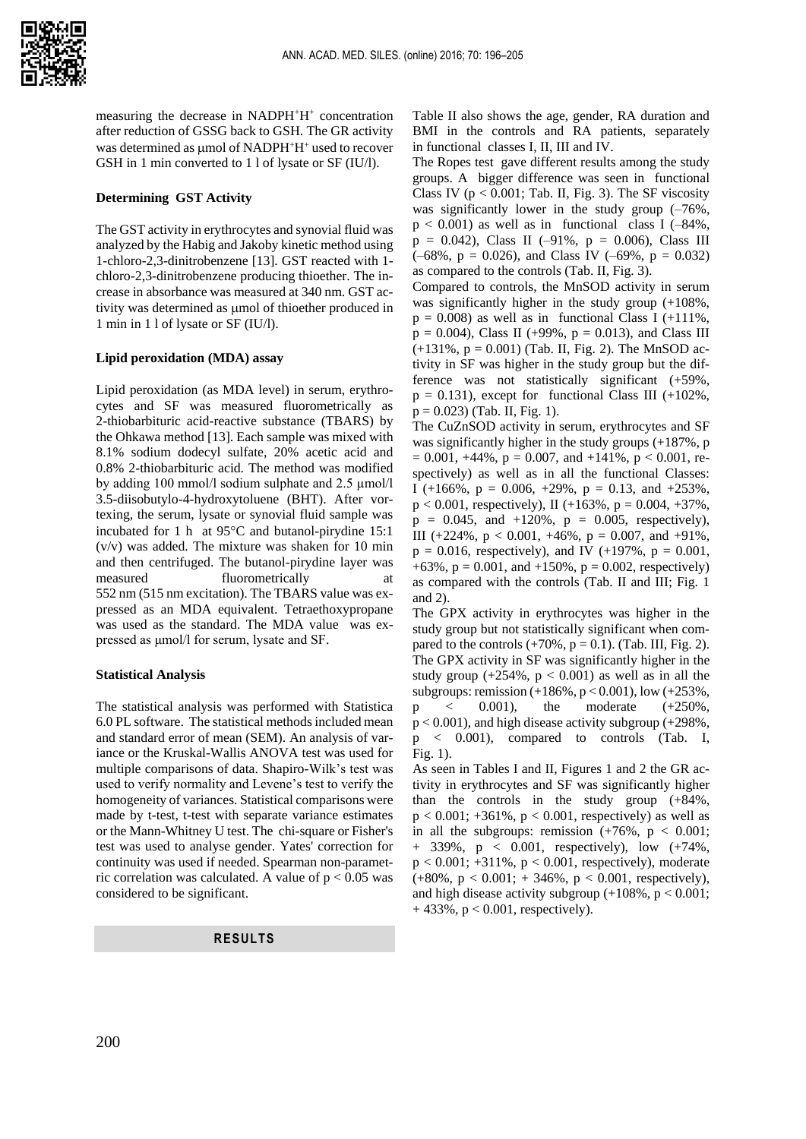

measuring the decrease in NADPH<sup>+</sup>H<sup>+</sup> concentration after reduction of GSSG back to GSH. The GR activity was determined as umol of NADPH+H+ used to recover GSH in 1 min converted to 1 l of lysate or SF (IU/l).

#### **Determining GST Activity**

The GST activity in erythrocytes and synovial fluid was analyzed by the Habig and Jakoby kinetic method using 1-chloro-2,3-dinitrobenzene [13]. GST reacted with 1 chloro-2,3-dinitrobenzene producing thioether. The increase in absorbance was measured at 340 nm. GST activity was determined as umol of thioether produced in 1 min in 1 l of lysate or SF (IU/l).

#### **Lipid peroxidation (MDA) assay**

Lipid peroxidation (as MDA level) in serum, erythrocytes and SF was measured fluorometrically as 2-thiobarbituric acid-reactive substance (TBARS) by the Ohkawa method [13]. Each sample was mixed with 8.1% sodium dodecyl sulfate, 20% acetic acid and 0.8% 2-thiobarbituric acid. The method was modified by adding 100 mmol/l sodium sulphate and 2.5 µmol/l 3.5-diisobutylo-4-hydroxytoluene (BHT). After vortexing, the serum, lysate or synovial fluid sample was incubated for 1 h at  $95^{\circ}$ C and butanol-pirydine 15:1 (v/v) was added. The mixture was shaken for 10 min and then centrifuged. The butanol-pirydine layer was measured fluorometrically at 552 nm (515 nm excitation). The TBARS value was expressed as an MDA equivalent. Tetraethoxypropane was used as the standard. The MDA value was expressed as μmol/l for serum, lysate and SF.

#### **Statistical Analysis**

The statistical analysis was performed with Statistica 6.0 PL software. The statistical methods included mean and standard error of mean (SEM). An analysis of variance or the Kruskal-Wallis ANOVA test was used for multiple comparisons of data. Shapiro-Wilk's test was used to verify normality and Levene's test to verify the homogeneity of variances. Statistical comparisons were made by t-test, t-test with separate variance estimates or the Mann-Whitney U test. The chi-square or Fisher's test was used to analyse gender. Yates' correction for continuity was used if needed. Spearman non-parametric correlation was calculated. A value of  $p < 0.05$  was considered to be significant.

## **RESULTS**

Table II also shows the age, gender, RA duration and BMI in the controls and RA patients, separately in functional classes I, II, III and IV.

The Ropes test gave different results among the study groups. A bigger difference was seen in functional Class IV ( $p < 0.001$ ; Tab. II, Fig. 3). The SF viscosity was significantly lower in the study group  $(-76\%$ ,  $p < 0.001$ ) as well as in functional class I (-84%,  $p = 0.042$ ), Class II (-91%,  $p = 0.006$ ), Class III  $(-68\%, p = 0.026)$ , and Class IV  $(-69\%, p = 0.032)$ as compared to the controls (Tab. II, Fig. 3).

Compared to controls, the MnSOD activity in serum was significantly higher in the study group (+108%,  $p = 0.008$ ) as well as in functional Class I (+111%,  $p = 0.004$ ), Class II (+99%,  $p = 0.013$ ), and Class III  $(+131\%, p = 0.001)$  (Tab. II, Fig. 2). The MnSOD activity in SF was higher in the study group but the difference was not statistically significant (+59%,  $p = 0.131$ , except for functional Class III (+102%,  $p = 0.023$ ) (Tab. II, Fig. 1).

The CuZnSOD activity in serum, erythrocytes and SF was significantly higher in the study groups (+187%, p  $= 0.001, +44\%, p = 0.007,$  and  $+141\%, p < 0.001$ , respectively) as well as in all the functional Classes: I (+166%,  $p = 0.006$ , +29%,  $p = 0.13$ , and +253%,  $p < 0.001$ , respectively), II (+163%,  $p = 0.004, +37\%$ ,  $p = 0.045$ , and  $+120\%$ ,  $p = 0.005$ , respectively), III (+224%,  $p < 0.001$ , +46%,  $p = 0.007$ , and +91%,  $p = 0.016$ , respectively), and IV (+197%,  $p = 0.001$ , +63%,  $p = 0.001$ , and +150%,  $p = 0.002$ , respectively) as compared with the controls (Tab. II and III; Fig. 1 and 2).

The GPX activity in erythrocytes was higher in the study group but not statistically significant when compared to the controls  $(+70\%$ ,  $p = 0.1)$ . (Tab. III, Fig. 2). The GPX activity in SF was significantly higher in the study group  $(+254\%, p < 0.001)$  as well as in all the subgroups: remission (+186%, p < 0.001), low (+253%,  $p \leq 0.001$ , the moderate  $(+250\%)$ .  $p < 0.001$ ), and high disease activity subgroup (+298%, p < 0.001), compared to controls (Tab. I, Fig. 1).

As seen in Tables I and II, Figures 1 and 2 the GR activity in erythrocytes and SF was significantly higher than the controls in the study group (+84%,  $p < 0.001$ ; +361%,  $p < 0.001$ , respectively) as well as in all the subgroups: remission  $(+76\% , p < 0.001;$ + 339%, p < 0.001, respectively), low (+74%,  $p < 0.001$ ; +311%,  $p < 0.001$ , respectively), moderate  $(+80\%, p < 0.001; +346\%, p < 0.001$ , respectively), and high disease activity subgroup  $(+108\%, p < 0.001)$ ;  $+ 433\%, p < 0.001$ , respectively).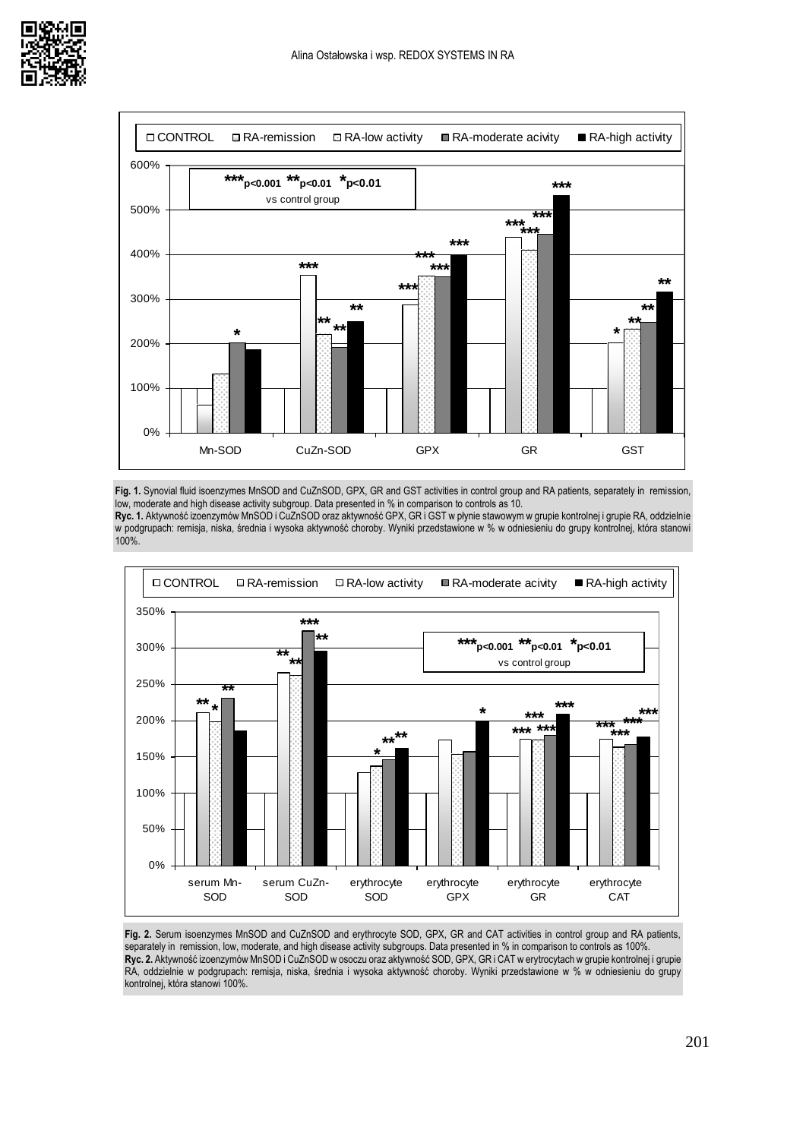



**Fig. 1.** Synovial fluid isoenzymes MnSOD and CuZnSOD, GPX, GR and GST activities in control group and RA patients, separately in remission, low, moderate and high disease activity subgroup. Data presented in % in comparison to controls as 10.

**Ryc. 1.** Aktywność izoenzymów MnSOD i CuZnSOD oraz aktywność GPX, GR i GST w płynie stawowym w grupie kontrolnej i grupie RA, oddzielnie w podgrupach: remisja, niska, średnia i wysoka aktywność choroby. Wyniki przedstawione w % w odniesieniu do grupy kontrolnej, która stanowi 100%.



**Fig. 2.** Serum isoenzymes MnSOD and CuZnSOD and erythrocyte SOD, GPX, GR and CAT activities in control group and RA patients, separately in remission, low, moderate, and high disease activity subgroups. Data presented in % in comparison to controls as 100%. **Ryc. 2.** Aktywność izoenzymów MnSOD i CuZnSOD w osoczu oraz aktywność SOD, GPX, GR i CAT w erytrocytach w grupie kontrolnej i grupie RA, oddzielnie w podgrupach: remisja, niska, średnia i wysoka aktywność choroby. Wyniki przedstawione w % w odniesieniu do grupy kontrolnej, która stanowi 100%.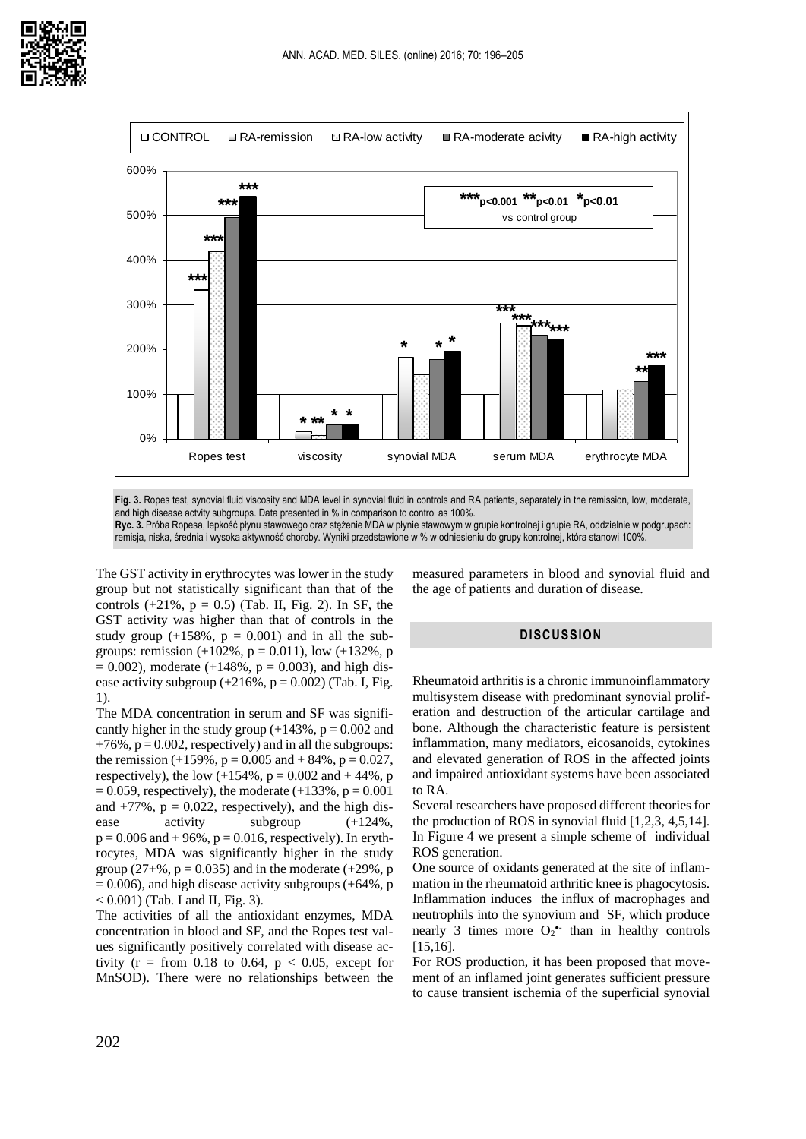

**Fig. 3.** Ropes test, synovial fluid viscosity and MDA level in synovial fluid in controls and RA patients, separately in the remission, low, moderate, and high disease actyity subgroups. Data presented in % in comparison to control as 100%. **Ryc. 3.** Próba Ropesa, lepkość płynu stawowego oraz stężenie MDA w płynie stawowym w grupie kontrolnej i grupie RA, oddzielnie w podgrupach:

remisja, niska, średnia i wysoka aktywność choroby. Wyniki przedstawione w % w odniesieniu do grupy kontrolnej, która stanowi 100%.

The GST activity in erythrocytes was lower in the study group but not statistically significant than that of the controls  $(+21\%, p = 0.5)$  (Tab. II, Fig. 2). In SF, the GST activity was higher than that of controls in the study group  $(+158\%, p = 0.001)$  and in all the subgroups: remission  $(+102\%, p = 0.011)$ , low  $(+132\%, p)$  $= 0.002$ ), moderate (+148%, p = 0.003), and high disease activity subgroup  $(+216\%, p = 0.002)$  (Tab. I, Fig. 1).

The MDA concentration in serum and SF was significantly higher in the study group  $(+143\%, p = 0.002$  and  $+76\%$ ,  $p = 0.002$ , respectively) and in all the subgroups: the remission  $(+159\%, p = 0.005$  and  $+84\%, p = 0.027$ , respectively), the low  $(+154\%, p = 0.002$  and  $+44\%, p$  $= 0.059$ , respectively), the moderate (+133%, p = 0.001 and  $+77\%$ ,  $p = 0.022$ , respectively), and the high disease activity subgroup  $(+124\%)$ .  $p = 0.006$  and  $+96\%$ ,  $p = 0.016$ , respectively). In erythrocytes, MDA was significantly higher in the study group (27+%,  $p = 0.035$ ) and in the moderate (+29%, p  $= 0.006$ ), and high disease activity subgroups (+64%, p  $< 0.001$ ) (Tab. I and II, Fig. 3).

The activities of all the antioxidant enzymes, MDA concentration in blood and SF, and the Ropes test values significantly positively correlated with disease activity ( $r = from 0.18$  to 0.64,  $p < 0.05$ , except for MnSOD). There were no relationships between the measured parameters in blood and synovial fluid and the age of patients and duration of disease.

## **DISCUSSION**

Rheumatoid arthritis is a chronic immunoinflammatory multisystem disease with predominant synovial proliferation and destruction of the articular cartilage and bone. Although the characteristic feature is persistent inflammation, many mediators, eicosanoids, cytokines and elevated generation of ROS in the affected joints and impaired antioxidant systems have been associated to RA.

Several researchers have proposed different theories for the production of ROS in synovial fluid [1,2,3, 4,5,14]. In Figure 4 we present a simple scheme of individual ROS generation.

One source of oxidants generated at the site of inflammation in the rheumatoid arthritic knee is phagocytosis. Inflammation induces the influx of macrophages and neutrophils into the synovium and SF, which produce nearly 3 times more  $O_2^{\bullet}$  than in healthy controls [15,16].

For ROS production, it has been proposed that movement of an inflamed joint generates sufficient pressure to cause transient ischemia of the superficial synovial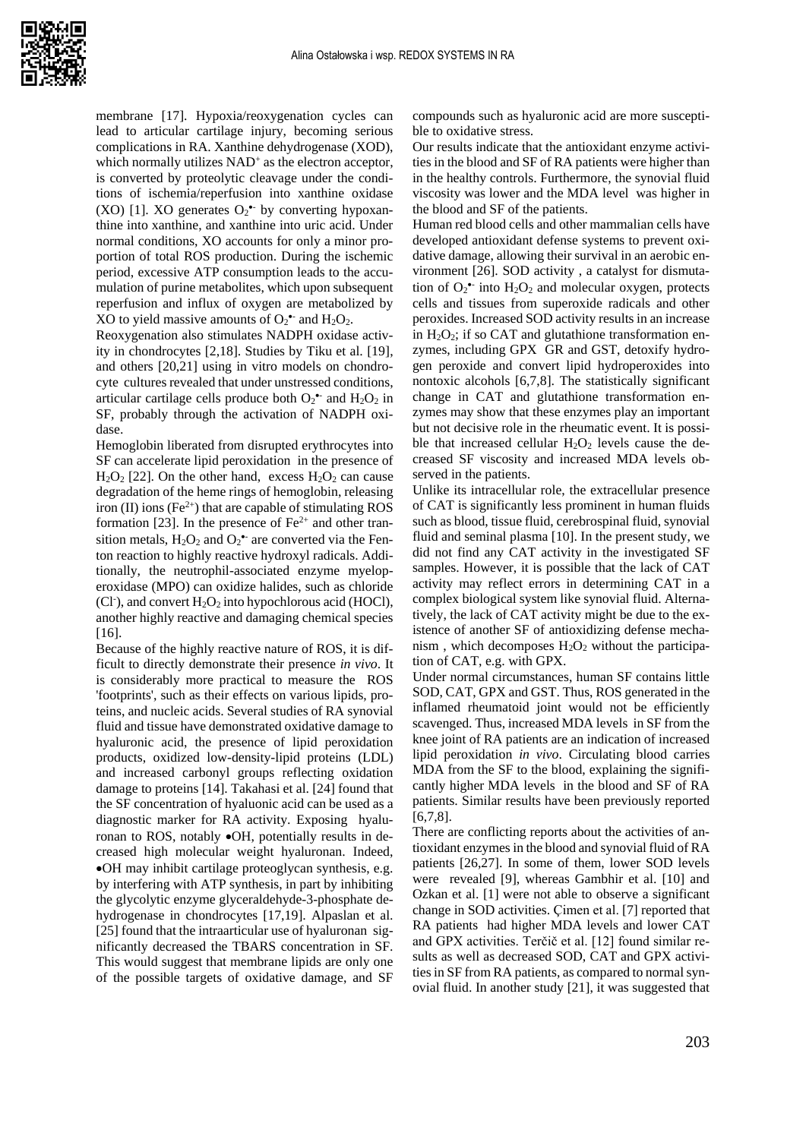

membrane [17]. Hypoxia/reoxygenation cycles can lead to articular cartilage injury, becoming serious complications in RA. Xanthine dehydrogenase (XOD), which normally utilizes NAD<sup>+</sup> as the electron acceptor, is converted by proteolytic cleavage under the conditions of ischemia/reperfusion into xanthine oxidase (XO) [1]. XO generates  $O_2^{\bullet}$  by converting hypoxanthine into xanthine, and xanthine into uric acid. Under normal conditions, XO accounts for only a minor proportion of total ROS production. During the ischemic period, excessive ATP consumption leads to the accumulation of purine metabolites, which upon subsequent reperfusion and influx of oxygen are metabolized by XO to yield massive amounts of  $O_2^{\bullet}$  and  $H_2O_2$ .

Reoxygenation also stimulates NADPH oxidase activity in chondrocytes [2,18]. Studies by Tiku et al. [19], and others [20,21] using in vitro models on chondrocyte cultures revealed that under unstressed conditions, articular cartilage cells produce both  $O_2$ <sup>\*</sup> and  $H_2O_2$  in SF, probably through the activation of NADPH oxidase.

Hemoglobin liberated from disrupted erythrocytes into SF can accelerate lipid peroxidation in the presence of  $H_2O_2$  [22]. On the other hand, excess  $H_2O_2$  can cause degradation of the heme rings of hemoglobin, releasing iron (II) ions (Fe<sup>2+</sup>) that are capable of stimulating ROS formation [23]. In the presence of  $Fe<sup>2+</sup>$  and other transition metals,  $H_2O_2$  and  $O_2^{\bullet-}$  are converted via the Fenton reaction to highly reactive hydroxyl radicals. Additionally, the neutrophil-associated enzyme myeloperoxidase (MPO) can oxidize halides, such as chloride (Cl<sup>-</sup>), and convert H<sub>2</sub>O<sub>2</sub> into hypochlorous acid (HOCl), another highly reactive and damaging chemical species [16].

Because of the highly reactive nature of ROS, it is difficult to directly demonstrate their presence *in vivo*. It is considerably more practical to measure the ROS 'footprints', such as their effects on various lipids, proteins, and nucleic acids. Several studies of RA synovial fluid and tissue have demonstrated oxidative damage to hyaluronic acid, the presence of lipid peroxidation products, oxidized low-density-lipid proteins (LDL) and increased carbonyl groups reflecting oxidation damage to proteins [14]. Takahasi et al. [24] found that the SF concentration of hyaluonic acid can be used as a diagnostic marker for RA activity. Exposing hyaluronan to ROS, notably •OH, potentially results in decreased high molecular weight hyaluronan. Indeed, •OH may inhibit cartilage proteoglycan synthesis, e.g. by interfering with ATP synthesis, in part by inhibiting the glycolytic enzyme glyceraldehyde-3-phosphate dehydrogenase in chondrocytes [17,19]. Alpaslan et al. [25] found that the intraarticular use of hyaluronan significantly decreased the TBARS concentration in SF. This would suggest that membrane lipids are only one of the possible targets of oxidative damage, and SF compounds such as hyaluronic acid are more susceptible to oxidative stress.

Our results indicate that the antioxidant enzyme activities in the blood and SF of RA patients were higher than in the healthy controls. Furthermore, the synovial fluid viscosity was lower and the MDA level was higher in the blood and SF of the patients.

Human red blood cells and other mammalian cells have developed antioxidant defense systems to prevent oxidative damage, allowing their survival in an aerobic environment [26]. SOD activity , a catalyst for dismutation of  $O_2$ <sup>\*</sup> into  $H_2O_2$  and molecular oxygen, protects cells and tissues from superoxide radicals and other peroxides. Increased SOD activity results in an increase in  $H_2O_2$ ; if so CAT and glutathione transformation enzymes, including GPX GR and GST, detoxify hydrogen peroxide and convert lipid hydroperoxides into nontoxic alcohols [6,7,8]. The statistically significant change in CAT and glutathione transformation enzymes may show that these enzymes play an important but not decisive role in the rheumatic event. It is possible that increased cellular  $H_2O_2$  levels cause the decreased SF viscosity and increased MDA levels observed in the patients.

Unlike its intracellular role, the extracellular presence of CAT is significantly less prominent in human fluids such as blood, tissue fluid, cerebrospinal fluid, synovial fluid and seminal plasma [10]. In the present study, we did not find any CAT activity in the investigated SF samples. However, it is possible that the lack of CAT activity may reflect errors in determining CAT in a complex biological system like synovial fluid. Alternatively, the lack of CAT activity might be due to the existence of another SF of antioxidizing defense mechanism, which decomposes  $H_2O_2$  without the participation of CAT, e.g. with GPX.

Under normal circumstances, human SF contains little SOD, CAT, GPX and GST. Thus, ROS generated in the inflamed rheumatoid joint would not be efficiently scavenged. Thus, increased MDA levels in SF from the knee joint of RA patients are an indication of increased lipid peroxidation *in vivo*. Circulating blood carries MDA from the SF to the blood, explaining the significantly higher MDA levels in the blood and SF of RA patients. Similar results have been previously reported [6,7,8].

There are conflicting reports about the activities of antioxidant enzymes in the blood and synovial fluid of RA patients [26,27]. In some of them, lower SOD levels were revealed [9], whereas Gambhir et al. [10] and Ozkan et al. [1] were not able to observe a significant change in SOD activities. Çimen et al. [7] reported that RA patients had higher MDA levels and lower CAT and GPX activities. Terčič et al. [12] found similar results as well as decreased SOD, CAT and GPX activities in SF from RA patients, as compared to normal synovial fluid. In another study [21], it was suggested that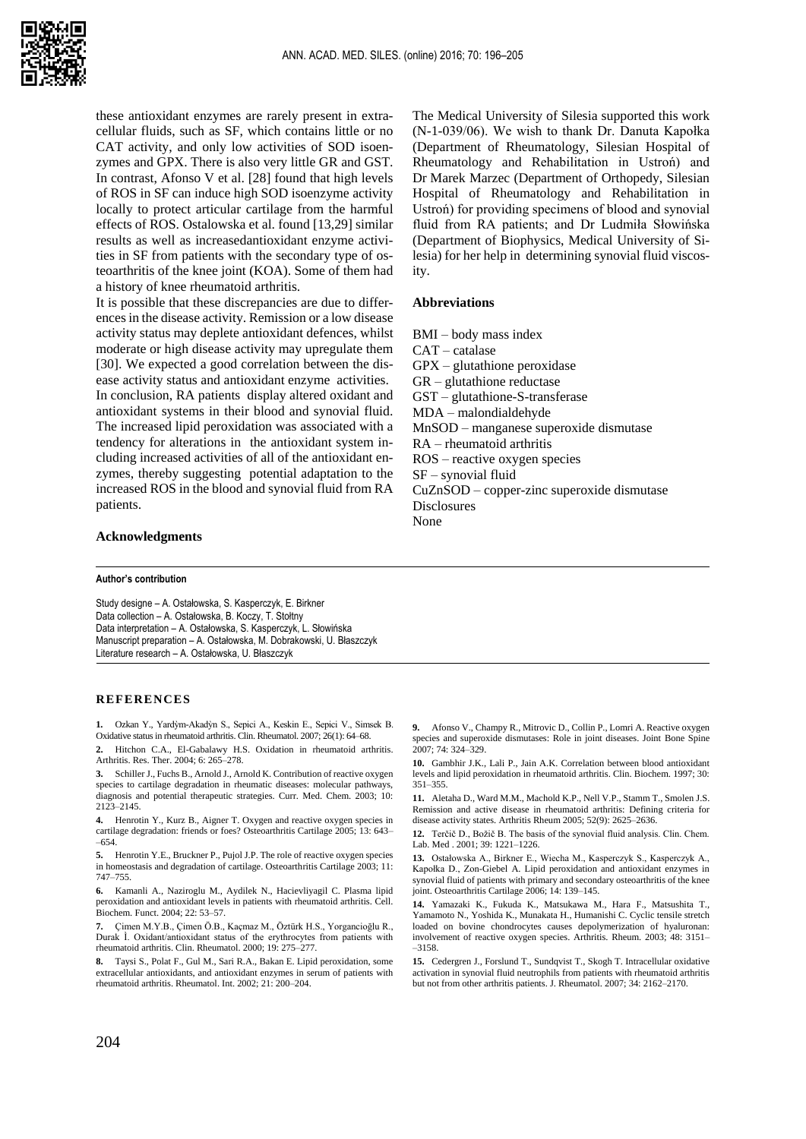

these antioxidant enzymes are rarely present in extracellular fluids, such as SF, which contains little or no CAT activity, and only low activities of SOD isoenzymes and GPX. There is also very little GR and GST. In contrast, Afonso V et al. [28] found that high levels of ROS in SF can induce high SOD isoenzyme activity locally to protect articular cartilage from the harmful effects of ROS. Ostalowska et al. found [13,29] similar results as well as increasedantioxidant enzyme activities in SF from patients with the secondary type of osteoarthritis of the knee joint (KOA). Some of them had a history of knee rheumatoid arthritis.

It is possible that these discrepancies are due to differences in the disease activity. Remission or a low disease activity status may deplete antioxidant defences, whilst moderate or high disease activity may upregulate them [30]. We expected a good correlation between the disease activity status and antioxidant enzyme activities. In conclusion, RA patients display altered oxidant and antioxidant systems in their blood and synovial fluid. The increased lipid peroxidation was associated with a tendency for alterations in the antioxidant system including increased activities of all of the antioxidant enzymes, thereby suggesting potential adaptation to the increased ROS in the blood and synovial fluid from RA patients.

**Acknowledgments**

#### **Author's contribution**

Study designe – A. Ostałowska, S. Kasperczyk, E. Birkner Data collection – A. Ostałowska, B. Koczy, T. Stołtny Data interpretation – A. Ostałowska, S. Kasperczyk, L. Słowińska Manuscript preparation – A. Ostałowska, M. Dobrakowski, U. Błaszczyk Literature research – A. Ostałowska, U. Błaszczyk

#### **REFERENCES**

**1.** Ozkan Y., Yardỳm-Akadỳn S., Sepici A., Keskin E., Sepici V., Simsek B. Oxidative status in rheumatoid arthritis. Clin. Rheumatol. 2007; 26(1): 64–68.

**2.** Hitchon C.A., El-Gabalawy H.S. Oxidation in rheumatoid arthritis. Arthritis. Res. Ther. 2004; 6: 265–278.

**3.** Schiller J., Fuchs B., Arnold J., Arnold K. Contribution of reactive oxygen species to cartilage degradation in rheumatic diseases: molecular pathways, diagnosis and potential therapeutic strategies. Curr. Med. Chem. 2003; 10: 2123–2145.

**4.** Henrotin Y., Kurz B., Aigner T. Oxygen and reactive oxygen species in cartilage degradation: friends or foes? Osteoarthritis Cartilage 2005; 13: 643– –654.

**5.** Henrotin Y.E., Bruckner P., Pujol J.P. The role of reactive oxygen species in homeostasis and degradation of cartilage. Osteoarthritis Cartilage 2003; 11: 747–755.

**6.** Kamanli A., Naziroglu M., Aydilek N., Hacievliyagil C. Plasma lipid peroxidation and antioxidant levels in patients with rheumatoid arthritis. Cell. Biochem. Funct. 2004; 22: 53–57.

**7.** Çimen M.Y.B., Çimen Ö.B., Kaçmaz M., Öztürk H.S., Yorgancioğlu R., Durak Ì. Oxidant/antioxidant status of the erythrocytes from patients with rheumatoid arthritis. Clin. Rheumatol. 2000; 19: 275–277.

**8.** Taysi S., Polat F., Gul M., Sari R.A., Bakan E. Lipid peroxidation, some extracellular antioxidants, and antioxidant enzymes in serum of patients with rheumatoid arthritis. Rheumatol. Int. 2002; 21: 200–204.

The Medical University of Silesia supported this work (N-1-039/06). We wish to thank Dr. Danuta Kapołka (Department of Rheumatology, Silesian Hospital of Rheumatology and Rehabilitation in Ustroń) and Dr Marek Marzec (Department of Orthopedy, Silesian Hospital of Rheumatology and Rehabilitation in Ustroń) for providing specimens of blood and synovial fluid from RA patients; and Dr Ludmiła Słowińska (Department of Biophysics, Medical University of Silesia) for her help in determining synovial fluid viscosity.

#### **Abbreviations**

BMI – body mass index CAT – catalase GPX – glutathione peroxidase GR – glutathione reductase GST – glutathione-S-transferase MDA – malondialdehyde MnSOD – manganese superoxide dismutase RA – rheumatoid arthritis ROS – reactive oxygen species SF – synovial fluid CuZnSOD – copper-zinc superoxide dismutase **Disclosures** None

**9.** Afonso V., Champy R., Mitrovic D., Collin P., Lomri A. Reactive oxygen species and superoxide dismutases: Role in joint diseases. Joint Bone Spine 2007; 74: 324–329.

**10.** Gambhir J.K., Lali P., Jain A.K. Correlation between blood antioxidant levels and lipid peroxidation in rheumatoid arthritis. Clin. Biochem. 1997; 30: 351–355.

**11.** Aletaha D., Ward M.M., Machold K.P., Nell V.P., Stamm T., Smolen J.S. Remission and active disease in rheumatoid arthritis: Defining criteria for disease activity states. Arthritis Rheum 2005; 52(9): 2625–2636.

**12.** Terčič D., Božič B. The basis of the synovial fluid analysis. Clin. Chem. Lab. Med . 2001; 39: 1221–1226.

**13.** Ostałowska A., Birkner E., Wiecha M., Kasperczyk S., Kasperczyk A., Kapołka D., Zon-Giebel A. Lipid peroxidation and antioxidant enzymes in synovial fluid of patients with primary and secondary osteoarthritis of the knee joint. Osteoarthritis Cartilage 2006; 14: 139–145.

**14.** Yamazaki K., Fukuda K., Matsukawa M., Hara F., Matsushita T., Yamamoto N., Yoshida K., Munakata H., Humanishi C. Cyclic tensile stretch loaded on bovine chondrocytes causes depolymerization of hyaluronan: involvement of reactive oxygen species. Arthritis. Rheum. 2003; 48: 3151– –3158.

**15.** Cedergren J., Forslund T., Sundqvist T., Skogh T. Intracellular oxidative activation in synovial fluid neutrophils from patients with rheumatoid arthritis but not from other arthritis patients. J. Rheumatol. 2007; 34: 2162–2170.